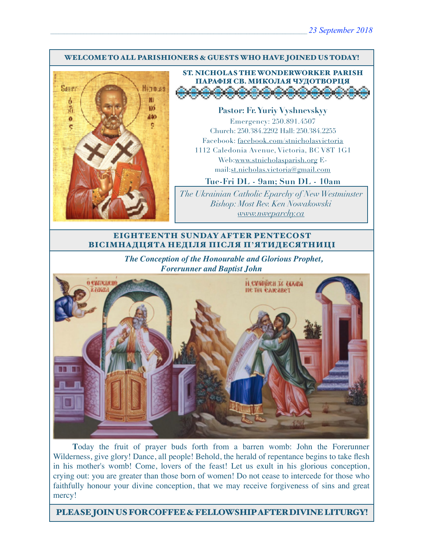#### WELCOME TO ALL PARISHIONERS & GUESTS WHO HAVE JOINED US TODAY!



ST. NICHOLAS THE WONDERWORKER PARISH ПАРАФІЯ СВ. МИКОЛАЯ ЧУДОТВОРЦЯ a a a a a a a a a

**Pastor: Fr. Yuriy Vyshnevskyy** Emergency: 250.891.4507 Church: 250.384.2292 Hall: 250.384.2255 Facebook: facebook.com/stnicholasvictoria 1112 Caledonia Avenue, Victoria, BC V8T 1G1 Web[:www.stnicholasparish.org](http://www.stnicholasparish.org) Email:[st.nicholas.victoria@gmail.com](mailto:st.nicholas.victoria@gmail.com)

**Tue-Fri DL - 9am; Sun DL - 10am**

*The Ukrainian Catholic Eparchy of New Westminster Bishop: Most Rev. Ken Nowakowski [www.nweparchy.ca](http://www.nweparchy.ca)*

#### EIGHTEENTH SUNDAY AFTER PENTECOST ВІСІМНАДЦЯТА НЕДІЛЯ ПІСЛЯ П**'**ЯТИДЕСЯТНИЦІ

*The Conception of the Honourable and Glorious Prophet, Forerunner and Baptist John*



**T**oday the fruit of prayer buds forth from a barren womb: John the Forerunner Wilderness, give glory! Dance, all people! Behold, the herald of repentance begins to take flesh in his mother's womb! Come, lovers of the feast! Let us exult in his glorious conception, crying out: you are greater than those born of women! Do not cease to intercede for those who faithfully honour your divine conception, that we may receive forgiveness of sins and great mercy!

PLEASE JOIN US FOR COFFEE & FELLOWSHIP AFTER DIVINE LITURGY!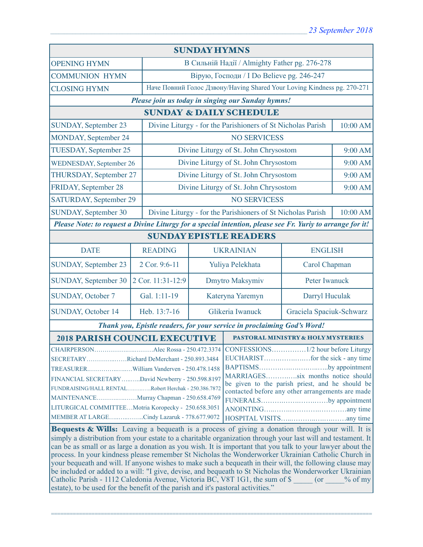| <b>SUNDAY HYMNS</b>                                                                                                                                                                                                                                                                                                                                                                                                                                                                                                                                                                                                                                                                                                                                                                                                                                    |                   |                                                                         |                                                             |                                                                         |                                    |         |  |  |
|--------------------------------------------------------------------------------------------------------------------------------------------------------------------------------------------------------------------------------------------------------------------------------------------------------------------------------------------------------------------------------------------------------------------------------------------------------------------------------------------------------------------------------------------------------------------------------------------------------------------------------------------------------------------------------------------------------------------------------------------------------------------------------------------------------------------------------------------------------|-------------------|-------------------------------------------------------------------------|-------------------------------------------------------------|-------------------------------------------------------------------------|------------------------------------|---------|--|--|
| <b>OPENING HYMN</b>                                                                                                                                                                                                                                                                                                                                                                                                                                                                                                                                                                                                                                                                                                                                                                                                                                    |                   | В Сильній Надії / Almighty Father pg. 276-278                           |                                                             |                                                                         |                                    |         |  |  |
| <b>COMMUNION HYMN</b>                                                                                                                                                                                                                                                                                                                                                                                                                                                                                                                                                                                                                                                                                                                                                                                                                                  |                   | Вірую, Господи / I Do Believe pg. 246-247                               |                                                             |                                                                         |                                    |         |  |  |
| <b>CLOSING HYMN</b>                                                                                                                                                                                                                                                                                                                                                                                                                                                                                                                                                                                                                                                                                                                                                                                                                                    |                   | Наче Повний Голос Дзвону/Having Shared Your Loving Kindness pg. 270-271 |                                                             |                                                                         |                                    |         |  |  |
| Please join us today in singing our Sunday hymns!                                                                                                                                                                                                                                                                                                                                                                                                                                                                                                                                                                                                                                                                                                                                                                                                      |                   |                                                                         |                                                             |                                                                         |                                    |         |  |  |
| <b>SUNDAY &amp; DAILY SCHEDULE</b>                                                                                                                                                                                                                                                                                                                                                                                                                                                                                                                                                                                                                                                                                                                                                                                                                     |                   |                                                                         |                                                             |                                                                         |                                    |         |  |  |
| SUNDAY, September 23                                                                                                                                                                                                                                                                                                                                                                                                                                                                                                                                                                                                                                                                                                                                                                                                                                   |                   |                                                                         | Divine Liturgy - for the Parishioners of St Nicholas Parish |                                                                         |                                    |         |  |  |
| MONDAY, September 24                                                                                                                                                                                                                                                                                                                                                                                                                                                                                                                                                                                                                                                                                                                                                                                                                                   |                   | <b>NO SERVICESS</b>                                                     |                                                             |                                                                         |                                    |         |  |  |
| TUESDAY, September 25                                                                                                                                                                                                                                                                                                                                                                                                                                                                                                                                                                                                                                                                                                                                                                                                                                  |                   | Divine Liturgy of St. John Chrysostom                                   | 9:00 AM                                                     |                                                                         |                                    |         |  |  |
| WEDNESDAY, September 26                                                                                                                                                                                                                                                                                                                                                                                                                                                                                                                                                                                                                                                                                                                                                                                                                                |                   | Divine Liturgy of St. John Chrysostom                                   | 9:00 AM                                                     |                                                                         |                                    |         |  |  |
| THURSDAY, September 27                                                                                                                                                                                                                                                                                                                                                                                                                                                                                                                                                                                                                                                                                                                                                                                                                                 |                   | Divine Liturgy of St. John Chrysostom                                   | 9:00 AM                                                     |                                                                         |                                    |         |  |  |
| FRIDAY, September 28                                                                                                                                                                                                                                                                                                                                                                                                                                                                                                                                                                                                                                                                                                                                                                                                                                   |                   |                                                                         |                                                             | Divine Liturgy of St. John Chrysostom                                   |                                    | 9:00 AM |  |  |
| SATURDAY, September 29                                                                                                                                                                                                                                                                                                                                                                                                                                                                                                                                                                                                                                                                                                                                                                                                                                 |                   |                                                                         |                                                             | <b>NO SERVICESS</b>                                                     |                                    |         |  |  |
| <b>SUNDAY, September 30</b>                                                                                                                                                                                                                                                                                                                                                                                                                                                                                                                                                                                                                                                                                                                                                                                                                            |                   |                                                                         |                                                             | Divine Liturgy - for the Parishioners of St Nicholas Parish             |                                    |         |  |  |
| Please Note: to request a Divine Liturgy for a special intention, please see Fr. Yuriy to arrange for it!                                                                                                                                                                                                                                                                                                                                                                                                                                                                                                                                                                                                                                                                                                                                              |                   |                                                                         |                                                             |                                                                         |                                    |         |  |  |
|                                                                                                                                                                                                                                                                                                                                                                                                                                                                                                                                                                                                                                                                                                                                                                                                                                                        |                   |                                                                         |                                                             | <b>SUNDAY EPISTLE READERS</b>                                           |                                    |         |  |  |
| <b>DATE</b>                                                                                                                                                                                                                                                                                                                                                                                                                                                                                                                                                                                                                                                                                                                                                                                                                                            | <b>READING</b>    |                                                                         | <b>UKRAINIAN</b>                                            |                                                                         | <b>ENGLISH</b>                     |         |  |  |
| SUNDAY, September 23                                                                                                                                                                                                                                                                                                                                                                                                                                                                                                                                                                                                                                                                                                                                                                                                                                   | 2 Cor. 9:6-11     |                                                                         | Yuliya Pelekhata                                            |                                                                         | Carol Chapman                      |         |  |  |
| <b>SUNDAY, September 30</b>                                                                                                                                                                                                                                                                                                                                                                                                                                                                                                                                                                                                                                                                                                                                                                                                                            | 2 Cor. 11:31-12:9 |                                                                         | Dmytro Maksymiv                                             |                                                                         | Peter Iwanuck                      |         |  |  |
| SUNDAY, October 7                                                                                                                                                                                                                                                                                                                                                                                                                                                                                                                                                                                                                                                                                                                                                                                                                                      | Gal. 1:11-19      |                                                                         | Kateryna Yaremyn                                            |                                                                         | Darryl Huculak                     |         |  |  |
| <b>SUNDAY, October 14</b>                                                                                                                                                                                                                                                                                                                                                                                                                                                                                                                                                                                                                                                                                                                                                                                                                              | Heb. 13:7-16      |                                                                         | Glikeria Iwanuck                                            |                                                                         | Graciela Spaciuk-Schwarz           |         |  |  |
|                                                                                                                                                                                                                                                                                                                                                                                                                                                                                                                                                                                                                                                                                                                                                                                                                                                        |                   |                                                                         |                                                             | Thank you, Epistle readers, for your service in proclaiming God's Word! |                                    |         |  |  |
| <b>2018 PARISH COUNCIL EXECUTIVE</b>                                                                                                                                                                                                                                                                                                                                                                                                                                                                                                                                                                                                                                                                                                                                                                                                                   |                   |                                                                         |                                                             |                                                                         | PASTORAL MINISTRY & HOLY MYSTERIES |         |  |  |
| CHAIRPERSONAlec Rossa - 250.472.3374 CONFESSIONS1/2 hour before Liturgy<br>SECRETARYRichard DeMerchant - 250.893.3484<br>BAPTISMSby appointment<br>MARRIAGESsix months notice should<br>FINANCIAL SECRETARYDavid Newberry - 250.598.8197<br>be given to the parish priest, and he should be<br>FUNDRAISING/HALL RENTALRobert Herchak - 250.386.7872<br>contacted before any other arrangements are made<br>MAINTENANCEMurray Chapman - 250.658.4769<br>FUNERALSby appointment<br>LITURGICAL COMMITTEEMotria Koropecky - 250.658.3051<br>MEMBER AT LARGECindy Lazaruk - 778.677.9072                                                                                                                                                                                                                                                                    |                   |                                                                         |                                                             |                                                                         |                                    |         |  |  |
| <b>Bequests &amp; Wills:</b> Leaving a bequeath is a process of giving a donation through your will. It is<br>simply a distribution from your estate to a charitable organization through your last will and testament. It<br>can be as small or as large a donation as you wish. It is important that you talk to your lawyer about the<br>process. In your kindness please remember St Nicholas the Wonderworker Ukrainian Catholic Church in<br>your bequeath and will. If anyone wishes to make such a bequeath in their will, the following clause may<br>be included or added to a will: "I give, devise, and bequeath to St Nicholas the Wonderworker Ukrainian<br>Catholic Parish - 1112 Caledonia Avenue, Victoria BC, V8T 1G1, the sum of \$ (or % of my<br>estate), to be used for the benefit of the parish and it's pastoral activities." |                   |                                                                         |                                                             |                                                                         |                                    |         |  |  |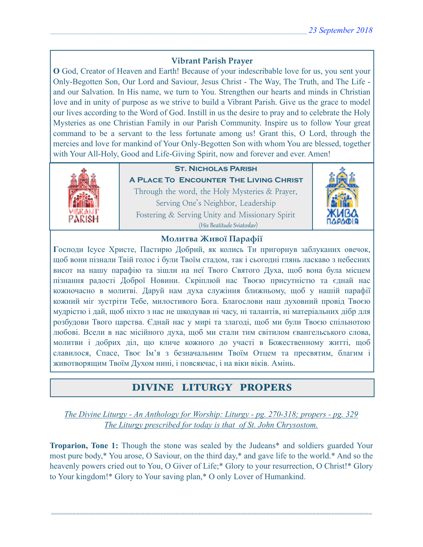## **Vibrant Parish Prayer**

**O** God, Creator of Heaven and Earth! Because of your indescribable love for us, you sent your Only-Begotten Son, Our Lord and Saviour, Jesus Christ - The Way, The Truth, and The Life and our Salvation. In His name, we turn to You. Strengthen our hearts and minds in Christian love and in unity of purpose as we strive to build a Vibrant Parish. Give us the grace to model our lives according to the Word of God. Instill in us the desire to pray and to celebrate the Holy Mysteries as one Christian Family in our Parish Community. Inspire us to follow Your great command to be a servant to the less fortunate among us! Grant this, O Lord, through the mercies and love for mankind of Your Only-Begotten Son with whom You are blessed, together with Your All-Holy, Good and Life-Giving Spirit, now and forever and ever. Amen!



## **St. Nicholas Parish**

**A Place To Encounter The Living Christ** Through the word, the Holy Mysteries & Prayer, Serving One's Neighbor, Leadership Fostering & Serving Unity and Missionary Spirit (His Beatitude Sviatoslav)



## **Молитва Живої Парафії**

**Г**осподи Ісусе Христе, Пастирю Добрий, як колись Ти пригорнув заблуканих овечок, щоб вони пізнали Твій голос і були Твоїм стадом, так і сьогодні глянь ласкаво з небесних висот на нашу парафію та зішли на неї Твого Святого Духа, щоб вона була місцем пізнання радості Доброї Новини. Скріплюй нас Твоєю присутністю та єднай нас кожночасно в молитві. Даруй нам духа служіння ближньому, щоб у нашій парафії кожний міг зустріти Тебе, милостивого Бога. Благослови наш духовний провід Твоєю мудрістю і дай, щоб ніхто з нас не шкодував ні часу, ні талантів, ні матеріальних дібр для розбудови Твого царства. Єднай нас у мирі та злагоді, щоб ми були Твоєю спільнотою любові. Всели в нас місійного духа, щоб ми стали тим світилом євангельського слова, молитви і добрих діл, що кличе кожного до участі в Божественному житті, щоб славилося, Спасе, Твоє Ім'я з безначальним Твоїм Отцем та пресвятим, благим і животворящим Твоїм Духом нині, і повсякчас, і на віки віків. Амінь.

# DIVINE LITURGY PROPERS

*The Divine Liturgy - An Anthology for Worship: Liturgy - pg. 270-318; propers - pg. 329 The Liturgy prescribed for today is that of St. John Chrysostom.* 

**Troparion, Tone 1:** Though the stone was sealed by the Judeans\* and soldiers guarded Your most pure body,\* You arose, O Saviour, on the third day,\* and gave life to the world.\* And so the heavenly powers cried out to You, O Giver of Life;\* Glory to your resurrection, O Christ!\* Glory to Your kingdom!\* Glory to Your saving plan,\* O only Lover of Humankind.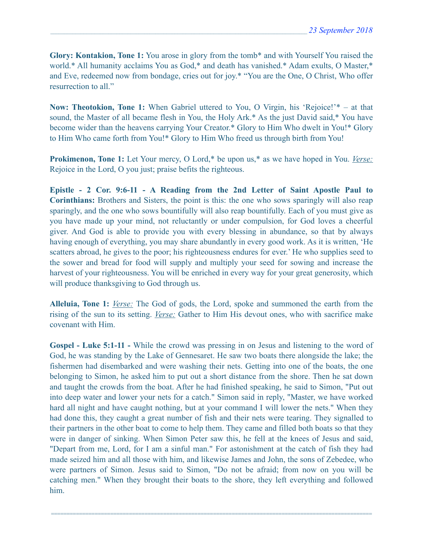**Glory: Kontakion, Tone 1:** You arose in glory from the tomb\* and with Yourself You raised the world.\* All humanity acclaims You as God,\* and death has vanished.\* Adam exults, O Master,\* and Eve, redeemed now from bondage, cries out for joy.\* "You are the One, O Christ, Who offer resurrection to all."

**Now: Theotokion, Tone 1:** When Gabriel uttered to You, O Virgin, his 'Rejoice!'\* – at that sound, the Master of all became flesh in You, the Holy Ark.\* As the just David said,\* You have become wider than the heavens carrying Your Creator.\* Glory to Him Who dwelt in You!\* Glory to Him Who came forth from You!\* Glory to Him Who freed us through birth from You!

**Prokimenon, Tone 1:** Let Your mercy, O Lord,\* be upon us,\* as we have hoped in You. *Verse:* Rejoice in the Lord, O you just; praise befits the righteous.

**Epistle - 2 Cor. 9:6-11 - A Reading from the 2nd Letter of Saint Apostle Paul to Corinthians:** Brothers and Sisters, the point is this: the one who sows sparingly will also reap sparingly, and the one who sows bountifully will also reap bountifully. Each of you must give as you have made up your mind, not reluctantly or under compulsion, for God loves a cheerful giver. And God is able to provide you with every blessing in abundance, so that by always having enough of everything, you may share abundantly in every good work. As it is written, 'He scatters abroad, he gives to the poor; his righteousness endures for ever.' He who supplies seed to the sower and bread for food will supply and multiply your seed for sowing and increase the harvest of your righteousness. You will be enriched in every way for your great generosity, which will produce thanksgiving to God through us.

**Alleluia, Tone 1:** *Verse:* The God of gods, the Lord, spoke and summoned the earth from the rising of the sun to its setting. *Verse:* Gather to Him His devout ones, who with sacrifice make covenant with Him.

**Gospel - Luke 5:1-11 -** While the crowd was pressing in on Jesus and listening to the word of God, he was standing by the Lake of Gennesaret. He saw two boats there alongside the lake; the fishermen had disembarked and were washing their nets. Getting into one of the boats, the one belonging to Simon, he asked him to put out a short distance from the shore. Then he sat down and taught the crowds from the boat. After he had finished speaking, he said to Simon, "Put out into deep water and lower your nets for a catch." Simon said in reply, "Master, we have worked hard all night and have caught nothing, but at your command I will lower the nets." When they had done this, they caught a great number of fish and their nets were tearing. They signalled to their partners in the other boat to come to help them. They came and filled both boats so that they were in danger of sinking. When Simon Peter saw this, he fell at the knees of Jesus and said, "Depart from me, Lord, for I am a sinful man." For astonishment at the catch of fish they had made seized him and all those with him, and likewise James and John, the sons of Zebedee, who were partners of Simon. Jesus said to Simon, "Do not be afraid; from now on you will be catching men." When they brought their boats to the shore, they left everything and followed him.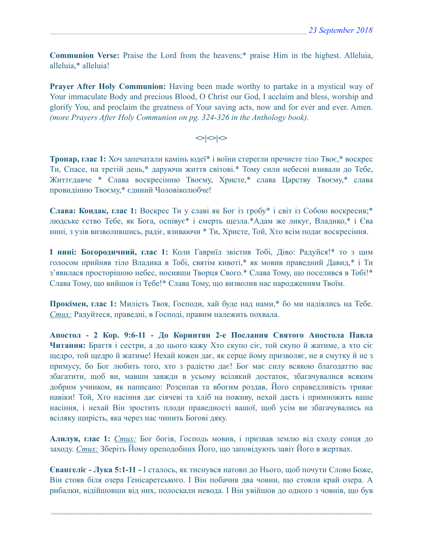**Communion Verse:** Praise the Lord from the heavens;\* praise Him in the highest. Alleluia, alleluia,\* alleluia!

**Prayer After Holy Communion:** Having been made worthy to partake in a mystical way of Your immaculate Body and precious Blood, O Christ our God, I acclaim and bless, worship and glorify You, and proclaim the greatness of Your saving acts, now and for ever and ever. Amen. *(more Prayers After Holy Communion on pg. 324-326 in the Anthology book).* 

### $\left| \diamond \right| \diamond \left| \diamond \right|$

**Тропар, глас 1:** Хоч запечатали камінь юдеї\* і воїни стерегли пречисте тіло Твоє,\* воскрес Ти, Спасе, на третій день,\* даруючи життя світові.\* Тому сили небесні взивали до Тебе, Життєдавче \* Слава воскресінню Твоєму, Христе,\* слава Царству Твоєму,\* слава провидінню Твоєму,\* єдиний Чоловіколюбче!

**Слава: Кондак, глас 1:** Воскрес Ти у славі як Бог із гробу\* і світ із Собою воскресив;\* людське єство Тебе, як Бога, оспівує\* і смерть щезла.\*Адам же ликує, Владико,\* і Єва нині, з узів визволившись, радіє, взиваючи \* Ти, Христе, Той, Хто всім подає воскресіння.

**І нині: Богородичний, глас 1:** Коли Гавриїл звістив Тобі, Діво: Радуйся!\* то з цим голосом прийняв тіло Владика в Тобі, святім кивоті,\* як мовив праведний Давид,\* і Ти з'явилася просторішою небес, носивши Творця Свого.\* Слава Тому, що поселився в Тобі!\* Слава Тому, що вийшов із Тебе!\* Слава Тому, що визволив нас народженням Твоїм.

**Прокімен, глас 1:** Милість Твоя, Господи, хай буде над нами,\* бо ми надіялись на Тебе. *Стих:* Радуйтеся, праведні, в Господі, правим належить похвала.

**Апостол - 2 Кор. 9:6-11 - До Коринтян 2-е Послання Святого Апостола Павла Читання:** Браття і сестри, а до цього кажу Хто скупо сіє, той скупо й жатиме, а хто сіє щедро, той щедро й жатиме! Нехай кожен дає, як серце йому призволяє, не в смутку й не з примусу, бо Бог любить того, хто з радістю дає! Бог має силу всякою благодаттю вас збагатити, щоб ви, мавши завжди в усьому всілякий достаток, збагачувалися всяким добрим учинком, як написано: Розсипав та вбогим роздав, Його справедливість триває навіки! Той, Хто насіння дає сіячеві та хліб на поживу, нехай дасть і примножить ваше насіння, і нехай Він зростить плоди праведності вашої, щоб усім ви збагачувались на всіляку щирість, яка через нас чинить Богові дяку.

**Алилуя, глас 1:** *Стих:* Бог богів, Господь мовив, і призвав землю від сходу сонця до заходу. *Стих:* Зберіть Йому преподобних Його, що заповідують завіт Його в жертвах.

**Євангеліє - Лука 5:1-11 -** І сталось, як тиснувся натовп до Нього, щоб почути Слово Боже, Він стояв біля озера Генісаретського. І Він побачив два човни, що стояли край озера. А рибалки, відійшовши від них, полоскали невода. І Він увійшов до одного з човнів, що був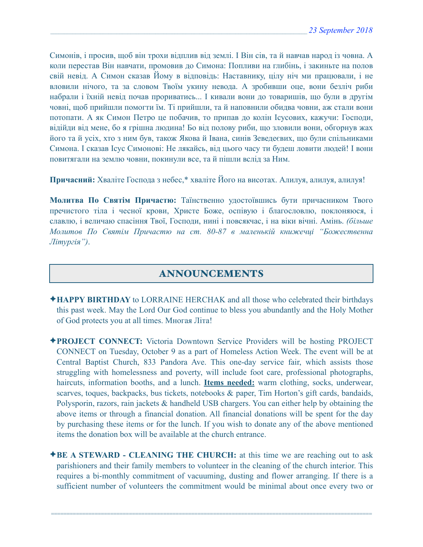Симонів, і просив, щоб він трохи відплив від землі. І Він сів, та й навчав народ із човна. А коли перестав Він навчати, промовив до Симона: Попливи на глибінь, і закиньте на полов свій невід. А Симон сказав Йому в відповідь: Наставнику, цілу ніч ми працювали, і не вловили нічого, та за словом Твоїм укину невода. А зробивши оце, вони безліч риби набрали і їхній невід почав прориватись... І кивали вони до товаришів, що були в другім човні, щоб прийшли помогти їм. Ті прийшли, та й наповнили обидва човни, аж стали вони потопати. А як Симон Петро це побачив, то припав до колін Ісусових, кажучи: Господи, відійди від мене, бо я грішна людина! Бо від полову риби, що зловили вони, обгорнув жах його та й усіх, хто з ним був, також Якова й Івана, синів Зеведеєвих, що були спільниками Симона. І сказав Ісус Симонові: Не лякайсь, від цього часу ти будеш ловити людей! І вони повитягали на землю човни, покинули все, та й пішли вслід за Ним.

**Причасний:** Хваліте Господа з небес,\* хваліте Його на висотах. Алилуя, алилуя, алилуя!

**Молитва По Святім Причастю:** Таїнственно удостоївшись бути причасником Твого пречистого тіла і чесної крови, Христе Боже, оспівую і благословлю, поклоняюся, і славлю, і величаю спасіння Твої, Господи, нині і повсякчас, і на віки вічні. Амінь. *(більше Молитов По Святім Причастю на ст. 80-87 в маленькій книжечці "Божественна Літургія")*.

# ANNOUNCEMENTS

- ✦**HAPPY BIRTHDAY** to LORRAINE HERCHAK and all those who celebrated their birthdays this past week. May the Lord Our God continue to bless you abundantly and the Holy Mother of God protects you at all times. Многая Літа!
- ✦**PROJECT CONNECT:** Victoria Downtown Service Providers will be hosting PROJECT CONNECT on Tuesday, October 9 as a part of Homeless Action Week. The event will be at Central Baptist Church, 833 Pandora Ave. This one-day service fair, which assists those struggling with homelessness and poverty, will include foot care, professional photographs, haircuts, information booths, and a lunch. **Items needed:** warm clothing, socks, underwear, scarves, toques, backpacks, bus tickets, notebooks & paper, Tim Horton's gift cards, bandaids, Polysporin, razors, rain jackets & handheld USB chargers. You can either help by obtaining the above items or through a financial donation. All financial donations will be spent for the day by purchasing these items or for the lunch. If you wish to donate any of the above mentioned items the donation box will be available at the church entrance.
- ✦**BE A STEWARD CLEANING THE CHURCH:** at this time we are reaching out to ask parishioners and their family members to volunteer in the cleaning of the church interior. This requires a bi-monthly commitment of vacuuming, dusting and flower arranging. If there is a sufficient number of volunteers the commitment would be minimal about once every two or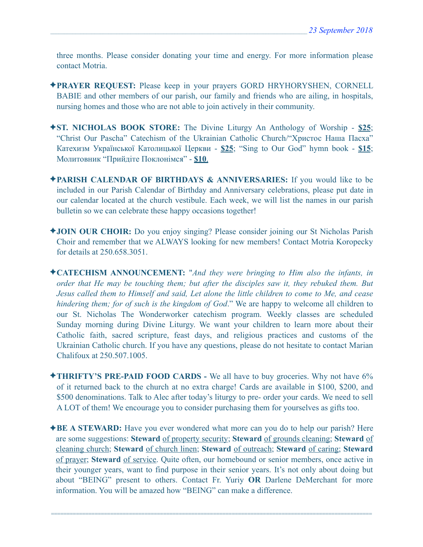three months. Please consider donating your time and energy. For more information please contact Motria.

- ✦**PRAYER REQUEST:** Please keep in your prayers GORD HRYHORYSHEN, CORNELL BABIE and other members of our parish, our family and friends who are ailing, in hospitals, nursing homes and those who are not able to join actively in their community.
- ✦**ST. NICHOLAS BOOK STORE:** The Divine Liturgy An Anthology of Worship **\$25**; "Christ Our Pascha" Catechism of the Ukrainian Catholic Church/"Христос Наша Пасха" Катехизм Української Католицької Церкви - **\$25**; "Sing to Our God" hymn book - **\$15**; Молитовник "Прийдіте Поклонімся" - **\$10**.
- ✦**PARISH CALENDAR OF BIRTHDAYS & ANNIVERSARIES:** If you would like to be included in our Parish Calendar of Birthday and Anniversary celebrations, please put date in our calendar located at the church vestibule. Each week, we will list the names in our parish bulletin so we can celebrate these happy occasions together!
- ✦**JOIN OUR CHOIR:** Do you enjoy singing? Please consider joining our St Nicholas Parish Choir and remember that we ALWAYS looking for new members! Contact Motria Koropecky for details at 250.658.3051.
- ✦**CATECHISM ANNOUNCEMENT:** "*And they were bringing to Him also the infants, in order that He may be touching them; but after the disciples saw it, they rebuked them. But Jesus called them to Himself and said, Let alone the little children to come to Me, and cease hindering them; for of such is the kingdom of God*." We are happy to welcome all children to our St. Nicholas The Wonderworker catechism program. Weekly classes are scheduled Sunday morning during Divine Liturgy. We want your children to learn more about their Catholic faith, sacred scripture, feast days, and religious practices and customs of the Ukrainian Catholic church. If you have any questions, please do not hesitate to contact Marian Chalifoux at 250.507.1005.
- ✦**THRIFTY'S PRE-PAID FOOD CARDS** We all have to buy groceries. Why not have 6% of it returned back to the church at no extra charge! Cards are available in \$100, \$200, and \$500 denominations. Talk to Alec after today's liturgy to pre- order your cards. We need to sell A LOT of them! We encourage you to consider purchasing them for yourselves as gifts too.
- ✦**BE A STEWARD:** Have you ever wondered what more can you do to help our parish? Here are some suggestions: **Steward** of property security; **Steward** of grounds cleaning; **Steward** of cleaning church; **Steward** of church linen; **Steward** of outreach; **Steward** of caring; **Steward** of prayer; **Steward** of service. Quite often, our homebound or senior members, once active in their younger years, want to find purpose in their senior years. It's not only about doing but about "BEING" present to others. Contact Fr. Yuriy **OR** Darlene DeMerchant for more information. You will be amazed how "BEING" can make a difference.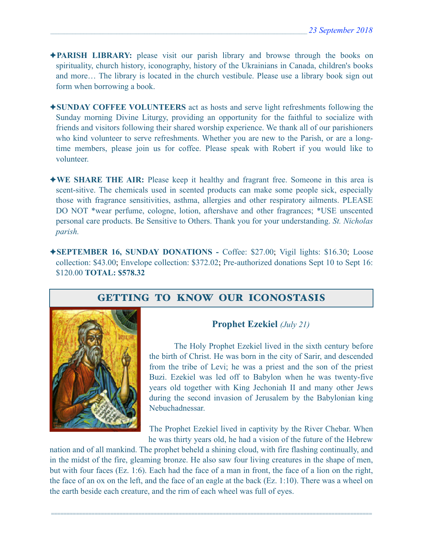- ✦**PARISH LIBRARY:** please visit our parish library and browse through the books on spirituality, church history, iconography, history of the Ukrainians in Canada, children's books and more… The library is located in the church vestibule. Please use a library book sign out form when borrowing a book.
- ✦**SUNDAY COFFEE VOLUNTEERS** act as hosts and serve light refreshments following the Sunday morning Divine Liturgy, providing an opportunity for the faithful to socialize with friends and visitors following their shared worship experience. We thank all of our parishioners who kind volunteer to serve refreshments. Whether you are new to the Parish, or are a longtime members, please join us for coffee. Please speak with Robert if you would like to volunteer.
- ✦**WE SHARE THE AIR:** Please keep it healthy and fragrant free. Someone in this area is scent-sitive. The chemicals used in scented products can make some people sick, especially those with fragrance sensitivities, asthma, allergies and other respiratory ailments. PLEASE DO NOT \*wear perfume, cologne, lotion, aftershave and other fragrances; \*USE unscented personal care products. Be Sensitive to Others. Thank you for your understanding. *St. Nicholas parish.*
- ✦**SEPTEMBER 16, SUNDAY DONATIONS** Coffee: \$27.00; Vigil lights: \$16.30; Loose collection: \$43.00; Envelope collection: \$372.02; Pre-authorized donations Sept 10 to Sept 16: \$120.00 **TOTAL: \$578.32**

# GETTING TO KNOW OUR ICONOSTASIS



# **Prophet Ezekiel** *(July 21)*

 The Holy Prophet Ezekiel lived in the sixth century before the birth of Christ. He was born in the city of Sarir, and descended from the tribe of Levi; he was a priest and the son of the priest Buzi. Ezekiel was led off to Babylon when he was twenty-five years old together with King Jechoniah II and many other Jews during the second invasion of Jerusalem by the Babylonian king Nebuchadnessar.

The Prophet Ezekiel lived in captivity by the River Chebar. When he was thirty years old, he had a vision of the future of the Hebrew

nation and of all mankind. The prophet beheld a shining cloud, with fire flashing continually, and in the midst of the fire, gleaming bronze. He also saw four living creatures in the shape of men, but with four faces (Ez. 1:6). Each had the face of a man in front, the face of a lion on the right, the face of an ox on the left, and the face of an eagle at the back (Ez. 1:10). There was a wheel on the earth beside each creature, and the rim of each wheel was full of eyes.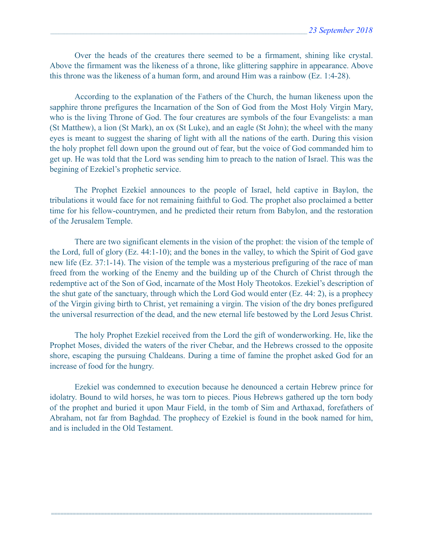Over the heads of the creatures there seemed to be a firmament, shining like crystal. Above the firmament was the likeness of a throne, like glittering sapphire in appearance. Above this throne was the likeness of a human form, and around Him was a rainbow (Ez. 1:4-28).

According to the explanation of the Fathers of the Church, the human likeness upon the sapphire throne prefigures the Incarnation of the Son of God from the Most Holy Virgin Mary, who is the living Throne of God. The four creatures are symbols of the four Evangelists: a man (St Matthew), a lion (St Mark), an ox (St Luke), and an eagle (St John); the wheel with the many eyes is meant to suggest the sharing of light with all the nations of the earth. During this vision the holy prophet fell down upon the ground out of fear, but the voice of God commanded him to get up. He was told that the Lord was sending him to preach to the nation of Israel. This was the begining of Ezekiel's prophetic service.

The Prophet Ezekiel announces to the people of Israel, held captive in Baylon, the tribulations it would face for not remaining faithful to God. The prophet also proclaimed a better time for his fellow-countrymen, and he predicted their return from Babylon, and the restoration of the Jerusalem Temple.

There are two significant elements in the vision of the prophet: the vision of the temple of the Lord, full of glory (Ez. 44:1-10); and the bones in the valley, to which the Spirit of God gave new life (Ez. 37:1-14). The vision of the temple was a mysterious prefiguring of the race of man freed from the working of the Enemy and the building up of the Church of Christ through the redemptive act of the Son of God, incarnate of the Most Holy Theotokos. Ezekiel's description of the shut gate of the sanctuary, through which the Lord God would enter (Ez. 44: 2), is a prophecy of the Virgin giving birth to Christ, yet remaining a virgin. The vision of the dry bones prefigured the universal resurrection of the dead, and the new eternal life bestowed by the Lord Jesus Christ.

The holy Prophet Ezekiel received from the Lord the gift of wonderworking. He, like the Prophet Moses, divided the waters of the river Chebar, and the Hebrews crossed to the opposite shore, escaping the pursuing Chaldeans. During a time of famine the prophet asked God for an increase of food for the hungry.

Ezekiel was condemned to execution because he denounced a certain Hebrew prince for idolatry. Bound to wild horses, he was torn to pieces. Pious Hebrews gathered up the torn body of the prophet and buried it upon Maur Field, in the tomb of Sim and Arthaxad, forefathers of Abraham, not far from Baghdad. The prophecy of Ezekiel is found in the book named for him, and is included in the Old Testament.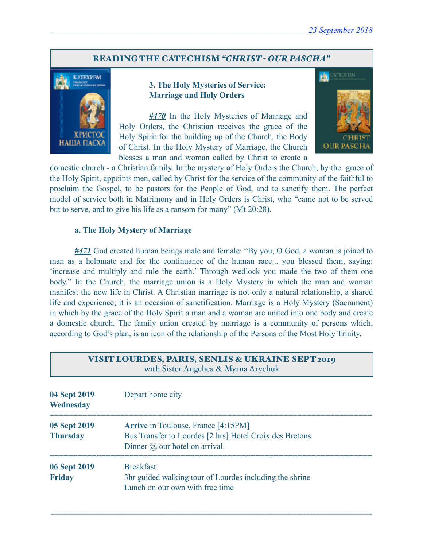### READING THE CATECHISM *"CHRIST - OUR PASCHA"*



 **3. The Holy Mysteries of Service: Marriage and Holy Orders** 

 *#470* In the Holy Mysteries of Marriage and Holy Orders, the Christian receives the grace of the Holy Spirit for the building up of the Church, the Body of Christ. In the Holy Mystery of Marriage, the Church blesses a man and woman called by Christ to create a



domestic church - a Christian family. In the mystery of Holy Orders the Church, by the grace of the Holy Spirit, appoints men, called by Christ for the service of the community of the faithful to proclaim the Gospel, to be pastors for the People of God, and to sanctify them. The perfect model of service both in Matrimony and in Holy Orders is Christ, who "came not to be served but to serve, and to give his life as a ransom for many" (Mt 20:28).

#### **a. The Holy Mystery of Marriage**

*#471* God created human beings male and female: "By you, O God, a woman is joined to man as a helpmate and for the continuance of the human race... you blessed them, saying: 'increase and multiply and rule the earth.' Through wedlock you made the two of them one body." In the Church, the marriage union is a Holy Mystery in which the man and woman manifest the new life in Christ. A Christian marriage is not only a natural relationship, a shared life and experience; it is an occasion of sanctification. Marriage is a Holy Mystery (Sacrament) in which by the grace of the Holy Spirit a man and a woman are united into one body and create a domestic church. The family union created by marriage is a community of persons which, according to God's plan, is an icon of the relationship of the Persons of the Most Holy Trinity.

| VISIT LOURDES, PARIS, SENLIS & UKRAINE SEPT 2019<br>with Sister Angelica & Myrna Arychuk |                                                                                                                                                |  |
|------------------------------------------------------------------------------------------|------------------------------------------------------------------------------------------------------------------------------------------------|--|
| 04 Sept 2019<br>Wednesday                                                                | Depart home city                                                                                                                               |  |
| 05 Sept 2019<br><b>Thursday</b>                                                          | <b>Arrive</b> in Toulouse, France [4:15PM]<br>Bus Transfer to Lourdes [2 hrs] Hotel Croix des Bretons<br>Dinner $\omega$ our hotel on arrival. |  |
| 06 Sept 2019<br><b>Friday</b>                                                            | <b>Breakfast</b><br>3hr guided walking tour of Lourdes including the shrine<br>Lunch on our own with free time                                 |  |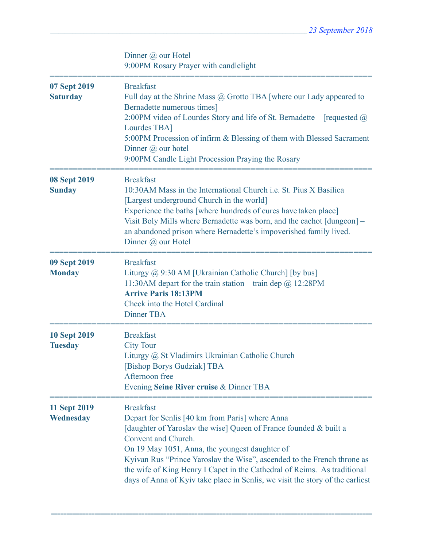Dinner @ our Hotel 9:00PM Rosary Prayer with candlelight

| 07 Sept 2019<br><b>Saturday</b>       | <b>Breakfast</b><br>Full day at the Shrine Mass @ Grotto TBA [where our Lady appeared to<br>Bernadette numerous times]<br>2:00PM video of Lourdes Story and life of St. Bernadette<br>[requested $\omega$ ]<br>Lourdes TBA]<br>5:00PM Procession of infirm & Blessing of them with Blessed Sacrament<br>Dinner $\omega$ our hotel<br>9:00PM Candle Light Procession Praying the Rosary                                                                    |
|---------------------------------------|-----------------------------------------------------------------------------------------------------------------------------------------------------------------------------------------------------------------------------------------------------------------------------------------------------------------------------------------------------------------------------------------------------------------------------------------------------------|
| <b>08 Sept 2019</b><br><b>Sunday</b>  | <b>Breakfast</b><br>10:30AM Mass in the International Church <i>i.e.</i> St. Pius X Basilica<br>[Largest underground Church in the world]<br>Experience the baths [where hundreds of cures have taken place]<br>Visit Boly Mills where Bernadette was born, and the cachot [dungeon] –<br>an abandoned prison where Bernadette's impoverished family lived.<br>Dinner @ our Hotel                                                                         |
| 09 Sept 2019<br><b>Monday</b>         | <b>Breakfast</b><br>Liturgy @ 9:30 AM [Ukrainian Catholic Church] [by bus]<br>11:30AM depart for the train station – train dep $\omega$ 12:28PM –<br><b>Arrive Paris 18:13PM</b><br>Check into the Hotel Cardinal<br><b>Dinner TBA</b>                                                                                                                                                                                                                    |
| <b>10 Sept 2019</b><br><b>Tuesday</b> | <b>Breakfast</b><br><b>City Tour</b><br>Liturgy @ St Vladimirs Ukrainian Catholic Church<br>[Bishop Borys Gudziak] TBA<br>Afternoon free<br>Evening Seine River cruise & Dinner TBA                                                                                                                                                                                                                                                                       |
| 11 Sept 2019<br>Wednesday             | <b>Breakfast</b><br>Depart for Senlis [40 km from Paris] where Anna<br>[daughter of Yaroslav the wise] Queen of France founded & built a<br>Convent and Church.<br>On 19 May 1051, Anna, the youngest daughter of<br>Kyivan Rus "Prince Yaroslav the Wise", ascended to the French throne as<br>the wife of King Henry I Capet in the Cathedral of Reims. As traditional<br>days of Anna of Kyiv take place in Senlis, we visit the story of the earliest |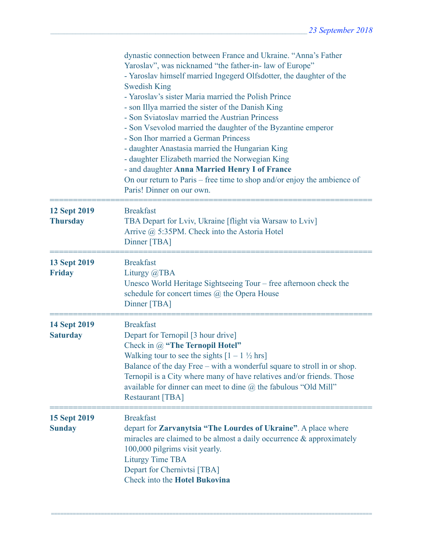|                                        | dynastic connection between France and Ukraine. "Anna's Father<br>Yaroslav", was nicknamed "the father-in- law of Europe"<br>- Yaroslav himself married Ingegerd Olfsdotter, the daughter of the<br><b>Swedish King</b><br>- Yaroslav's sister Maria married the Polish Prince<br>- son Illya married the sister of the Danish King<br>- Son Sviatoslav married the Austrian Princess<br>- Son Vsevolod married the daughter of the Byzantine emperor<br>- Son Ihor married a German Princess<br>- daughter Anastasia married the Hungarian King<br>- daughter Elizabeth married the Norwegian King<br>- and daughter Anna Married Henry I of France<br>On our return to Paris – free time to shop and/or enjoy the ambience of<br>Paris! Dinner on our own. |
|----------------------------------------|--------------------------------------------------------------------------------------------------------------------------------------------------------------------------------------------------------------------------------------------------------------------------------------------------------------------------------------------------------------------------------------------------------------------------------------------------------------------------------------------------------------------------------------------------------------------------------------------------------------------------------------------------------------------------------------------------------------------------------------------------------------|
| <b>12 Sept 2019</b><br><b>Thursday</b> | <b>Breakfast</b><br>TBA Depart for Lviv, Ukraine [flight via Warsaw to Lviv]<br>Arrive $\omega$ 5:35PM. Check into the Astoria Hotel<br>Dinner [TBA]                                                                                                                                                                                                                                                                                                                                                                                                                                                                                                                                                                                                         |
| <b>13 Sept 2019</b><br><b>Friday</b>   | <b>Breakfast</b><br>Liturgy @TBA<br>Unesco World Heritage Sightseeing Tour – free afternoon check the<br>schedule for concert times $\omega$ the Opera House<br>Dinner [TBA]                                                                                                                                                                                                                                                                                                                                                                                                                                                                                                                                                                                 |
| 14 Sept 2019<br><b>Saturday</b>        | <b>Breakfast</b><br>Depart for Ternopil [3 hour drive]<br>Check in @ "The Ternopil Hotel"<br>Walking tour to see the sights $[1 - 1 \frac{1}{2} \text{ hrs}]$<br>Balance of the day Free – with a wonderful square to stroll in or shop.<br>Ternopil is a City where many of have relatives and/or friends. Those<br>available for dinner can meet to dine $\omega$ the fabulous "Old Mill"<br>Restaurant [TBA]                                                                                                                                                                                                                                                                                                                                              |
| <b>15 Sept 2019</b><br><b>Sunday</b>   | <b>Breakfast</b><br>depart for Zarvanytsia "The Lourdes of Ukraine". A place where<br>miracles are claimed to be almost a daily occurrence & approximately<br>100,000 pilgrims visit yearly.<br><b>Liturgy Time TBA</b><br>Depart for Chernivtsi [TBA]<br><b>Check into the Hotel Bukovina</b>                                                                                                                                                                                                                                                                                                                                                                                                                                                               |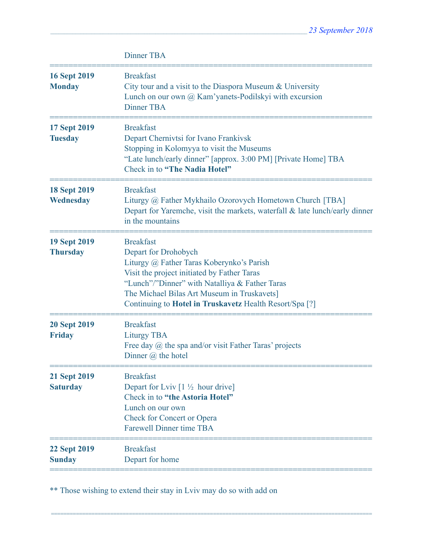|                                        | Dinner TBA                                                                                                                                                                                                                                                                                              |
|----------------------------------------|---------------------------------------------------------------------------------------------------------------------------------------------------------------------------------------------------------------------------------------------------------------------------------------------------------|
| <b>16 Sept 2019</b><br><b>Monday</b>   | <b>Breakfast</b><br>City tour and a visit to the Diaspora Museum & University<br>Lunch on our own @ Kam'yanets-Podilskyi with excursion<br><b>Dinner TBA</b>                                                                                                                                            |
| <b>17 Sept 2019</b><br><b>Tuesday</b>  | <b>Breakfast</b><br>Depart Chernivtsi for Ivano Frankivsk<br>Stopping in Kolomyya to visit the Museums<br>"Late lunch/early dinner" [approx. 3:00 PM] [Private Home] TBA<br><b>Check in to "The Nadia Hotel"</b>                                                                                        |
| <b>18 Sept 2019</b><br>Wednesday       | <b>Breakfast</b><br>Liturgy @ Father Mykhailo Ozorovych Hometown Church [TBA]<br>Depart for Yaremche, visit the markets, waterfall & late lunch/early dinner<br>in the mountains                                                                                                                        |
| <b>19 Sept 2019</b><br><b>Thursday</b> | <b>Breakfast</b><br>Depart for Drohobych<br>Liturgy @ Father Taras Koberynko's Parish<br>Visit the project initiated by Father Taras<br>"Lunch"/"Dinner" with Natalliya & Father Taras<br>The Michael Bilas Art Museum in Truskavets]<br>Continuing to <b>Hotel in Truskavetz</b> Health Resort/Spa [?] |
| <b>20 Sept 2019</b><br><b>Friday</b>   | <b>Breakfast</b><br><b>Liturgy TBA</b><br>Free day $\omega$ the spa and/or visit Father Taras' projects<br>Dinner $(a)$ the hotel                                                                                                                                                                       |
| 21 Sept 2019<br><b>Saturday</b>        | <b>Breakfast</b><br>Depart for Lviv $[1 \frac{1}{2}$ hour drive]<br>Check in to "the Astoria Hotel"<br>Lunch on our own<br><b>Check for Concert or Opera</b><br><b>Farewell Dinner time TBA</b>                                                                                                         |
| 22 Sept 2019<br><b>Sunday</b>          | <b>Breakfast</b><br>Depart for home                                                                                                                                                                                                                                                                     |

\*\* Those wishing to extend their stay in Lviv may do so with add on